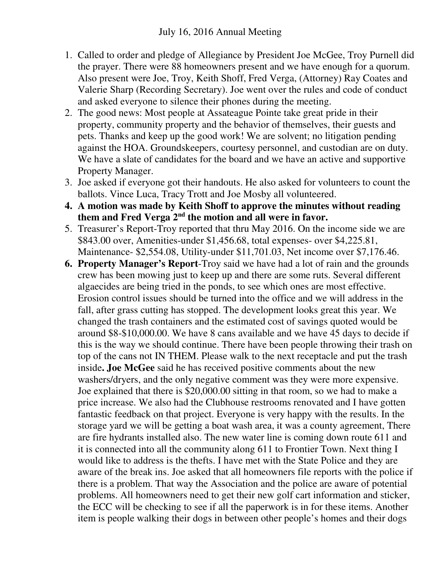- 1. Called to order and pledge of Allegiance by President Joe McGee, Troy Purnell did the prayer. There were 88 homeowners present and we have enough for a quorum. Also present were Joe, Troy, Keith Shoff, Fred Verga, (Attorney) Ray Coates and Valerie Sharp (Recording Secretary). Joe went over the rules and code of conduct and asked everyone to silence their phones during the meeting.
- 2. The good news: Most people at Assateague Pointe take great pride in their property, community property and the behavior of themselves, their guests and pets. Thanks and keep up the good work! We are solvent; no litigation pending against the HOA. Groundskeepers, courtesy personnel, and custodian are on duty. We have a slate of candidates for the board and we have an active and supportive Property Manager.
- 3. Joe asked if everyone got their handouts. He also asked for volunteers to count the ballots. Vince Luca, Tracy Trott and Joe Mosby all volunteered.
- **4. A motion was made by Keith Shoff to approve the minutes without reading them and Fred Verga 2nd the motion and all were in favor.**
- 5. Treasurer's Report-Troy reported that thru May 2016. On the income side we are \$843.00 over, Amenities-under \$1,456.68, total expenses- over \$4,225.81, Maintenance- \$2,554.08, Utility-under \$11,701.03, Net income over \$7,176.46.
- **6. Property Manager's Report**-Troy said we have had a lot of rain and the grounds crew has been mowing just to keep up and there are some ruts. Several different algaecides are being tried in the ponds, to see which ones are most effective. Erosion control issues should be turned into the office and we will address in the fall, after grass cutting has stopped. The development looks great this year. We changed the trash containers and the estimated cost of savings quoted would be around \$8-\$10,000.00. We have 8 cans available and we have 45 days to decide if this is the way we should continue. There have been people throwing their trash on top of the cans not IN THEM. Please walk to the next receptacle and put the trash inside**. Joe McGee** said he has received positive comments about the new washers/dryers, and the only negative comment was they were more expensive. Joe explained that there is \$20,000.00 sitting in that room, so we had to make a price increase. We also had the Clubhouse restrooms renovated and I have gotten fantastic feedback on that project. Everyone is very happy with the results. In the storage yard we will be getting a boat wash area, it was a county agreement, There are fire hydrants installed also. The new water line is coming down route 611 and it is connected into all the community along 611 to Frontier Town. Next thing I would like to address is the thefts. I have met with the State Police and they are aware of the break ins. Joe asked that all homeowners file reports with the police if there is a problem. That way the Association and the police are aware of potential problems. All homeowners need to get their new golf cart information and sticker, the ECC will be checking to see if all the paperwork is in for these items. Another item is people walking their dogs in between other people's homes and their dogs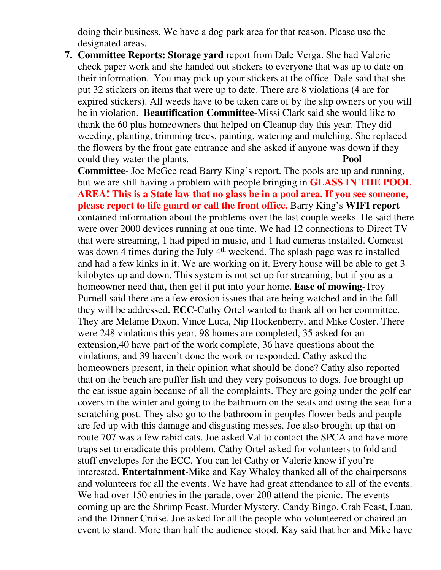doing their business. We have a dog park area for that reason. Please use the designated areas.

**7. Committee Reports: Storage yard** report from Dale Verga. She had Valerie check paper work and she handed out stickers to everyone that was up to date on their information. You may pick up your stickers at the office. Dale said that she put 32 stickers on items that were up to date. There are 8 violations (4 are for expired stickers). All weeds have to be taken care of by the slip owners or you will be in violation. **Beautification Committee**-Missi Clark said she would like to thank the 60 plus homeowners that helped on Cleanup day this year. They did weeding, planting, trimming trees, painting, watering and mulching. She replaced the flowers by the front gate entrance and she asked if anyone was down if they could they water the plants. **Pool** 

**Committee**- Joe McGee read Barry King's report. The pools are up and running, but we are still having a problem with people bringing in **GLASS IN THE POOL AREA! This is a State law that no glass be in a pool area. If you see someone, please report to life guard or call the front office.** Barry King's **WIFI report** contained information about the problems over the last couple weeks. He said there were over 2000 devices running at one time. We had 12 connections to Direct TV that were streaming, 1 had piped in music, and 1 had cameras installed. Comcast was down 4 times during the July 4<sup>th</sup> weekend. The splash page was re installed and had a few kinks in it. We are working on it. Every house will be able to get 3 kilobytes up and down. This system is not set up for streaming, but if you as a homeowner need that, then get it put into your home. **Ease of mowing**-Troy Purnell said there are a few erosion issues that are being watched and in the fall they will be addressed**. ECC**-Cathy Ortel wanted to thank all on her committee. They are Melanie Dixon, Vince Luca, Nip Hockenberry, and Mike Coster. There were 248 violations this year, 98 homes are completed, 35 asked for an extension,40 have part of the work complete, 36 have questions about the violations, and 39 haven't done the work or responded. Cathy asked the homeowners present, in their opinion what should be done? Cathy also reported that on the beach are puffer fish and they very poisonous to dogs. Joe brought up the cat issue again because of all the complaints. They are going under the golf car covers in the winter and going to the bathroom on the seats and using the seat for a scratching post. They also go to the bathroom in peoples flower beds and people are fed up with this damage and disgusting messes. Joe also brought up that on route 707 was a few rabid cats. Joe asked Val to contact the SPCA and have more traps set to eradicate this problem. Cathy Ortel asked for volunteers to fold and stuff envelopes for the ECC. You can let Cathy or Valerie know if you're interested. **Entertainment**-Mike and Kay Whaley thanked all of the chairpersons and volunteers for all the events. We have had great attendance to all of the events. We had over 150 entries in the parade, over 200 attend the picnic. The events coming up are the Shrimp Feast, Murder Mystery, Candy Bingo, Crab Feast, Luau, and the Dinner Cruise. Joe asked for all the people who volunteered or chaired an event to stand. More than half the audience stood. Kay said that her and Mike have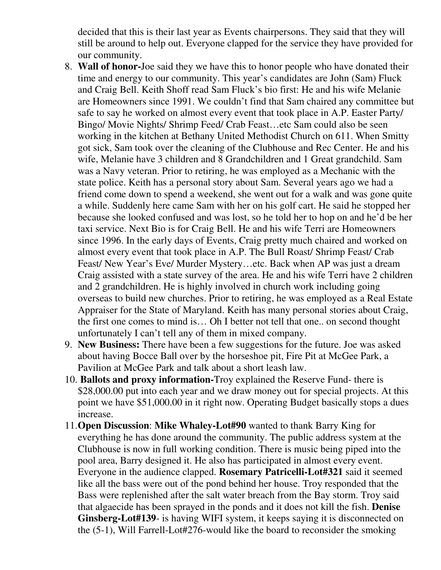decided that this is their last year as Events chairpersons. They said that they will still be around to help out. Everyone clapped for the service they have provided for our community.

- 8. **Wall of honor-**Joe said they we have this to honor people who have donated their time and energy to our community. This year's candidates are John (Sam) Fluck and Craig Bell. Keith Shoff read Sam Fluck's bio first: He and his wife Melanie are Homeowners since 1991. We couldn't find that Sam chaired any committee but safe to say he worked on almost every event that took place in A.P. Easter Party/ Bingo/ Movie Nights/ Shrimp Feed/ Crab Feast…etc Sam could also be seen working in the kitchen at Bethany United Methodist Church on 611. When Smitty got sick, Sam took over the cleaning of the Clubhouse and Rec Center. He and his wife, Melanie have 3 children and 8 Grandchildren and 1 Great grandchild. Sam was a Navy veteran. Prior to retiring, he was employed as a Mechanic with the state police. Keith has a personal story about Sam. Several years ago we had a friend come down to spend a weekend, she went out for a walk and was gone quite a while. Suddenly here came Sam with her on his golf cart. He said he stopped her because she looked confused and was lost, so he told her to hop on and he'd be her taxi service. Next Bio is for Craig Bell. He and his wife Terri are Homeowners since 1996. In the early days of Events, Craig pretty much chaired and worked on almost every event that took place in A.P. The Bull Roast/ Shrimp Feast/ Crab Feast/ New Year's Eve/ Murder Mystery…etc. Back when AP was just a dream Craig assisted with a state survey of the area. He and his wife Terri have 2 children and 2 grandchildren. He is highly involved in church work including going overseas to build new churches. Prior to retiring, he was employed as a Real Estate Appraiser for the State of Maryland. Keith has many personal stories about Craig, the first one comes to mind is… Oh I better not tell that one.. on second thought unfortunately I can't tell any of them in mixed company.
- 9. **New Business:** There have been a few suggestions for the future. Joe was asked about having Bocce Ball over by the horseshoe pit, Fire Pit at McGee Park, a Pavilion at McGee Park and talk about a short leash law.
- 10. **Ballots and proxy information-**Troy explained the Reserve Fund- there is \$28,000.00 put into each year and we draw money out for special projects. At this point we have \$51,000.00 in it right now. Operating Budget basically stops a dues increase.
- 11.**Open Discussion**: **Mike Whaley-Lot#90** wanted to thank Barry King for everything he has done around the community. The public address system at the Clubhouse is now in full working condition. There is music being piped into the pool area, Barry designed it. He also has participated in almost every event. Everyone in the audience clapped. **Rosemary Patricelli-Lot#321** said it seemed like all the bass were out of the pond behind her house. Troy responded that the Bass were replenished after the salt water breach from the Bay storm. Troy said that algaecide has been sprayed in the ponds and it does not kill the fish. **Denise Ginsberg-Lot#139**- is having WIFI system, it keeps saying it is disconnected on the (5-1), Will Farrell-Lot#276-would like the board to reconsider the smoking